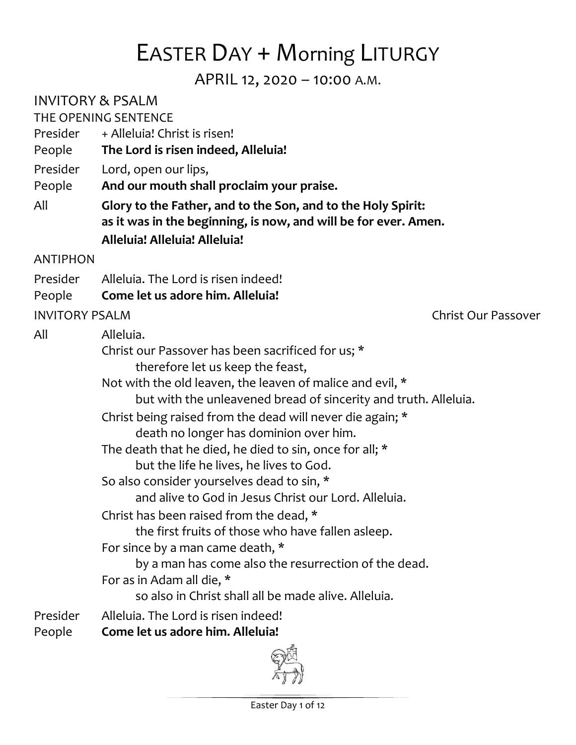# EASTER DAY + Morning LITURGY

APRIL 12, 2020 – 10:00 A.M.

INVITORY & PSALM

THE OPENING SENTENCE

- Presider + Alleluia! Christ is risen!
- People **The Lord is risen indeed, Alleluia!**
- Presider Lord, open our lips,
- People **And our mouth shall proclaim your praise.**
- All **Glory to the Father, and to the Son, and to the Holy Spirit: as it was in the beginning, is now, and will be for ever. Amen. Alleluia! Alleluia! Alleluia!**

#### ANTIPHON

- Presider Alleluia. The Lord is risen indeed!
- People **Come let us adore him. Alleluia!**

#### INVITORY PSALM Christ Our Passover

| All      | Alleluia.                                                       |
|----------|-----------------------------------------------------------------|
|          | Christ our Passover has been sacrificed for us; *               |
|          | therefore let us keep the feast,                                |
|          | Not with the old leaven, the leaven of malice and evil, *       |
|          | but with the unleavened bread of sincerity and truth. Alleluia. |
|          | Christ being raised from the dead will never die again; *       |
|          | death no longer has dominion over him.                          |
|          | The death that he died, he died to sin, once for all; *         |
|          | but the life he lives, he lives to God.                         |
|          | So also consider yourselves dead to sin, *                      |
|          | and alive to God in Jesus Christ our Lord. Alleluia.            |
|          | Christ has been raised from the dead, *                         |
|          | the first fruits of those who have fallen as leep.              |
|          | For since by a man came death, *                                |
|          | by a man has come also the resurrection of the dead.            |
|          | For as in Adam all die, *                                       |
|          | so also in Christ shall all be made alive. Alleluia.            |
| Presider | Alleluia. The Lord is risen indeed!                             |
| People   | Come let us adore him. Alleluia!                                |
|          |                                                                 |

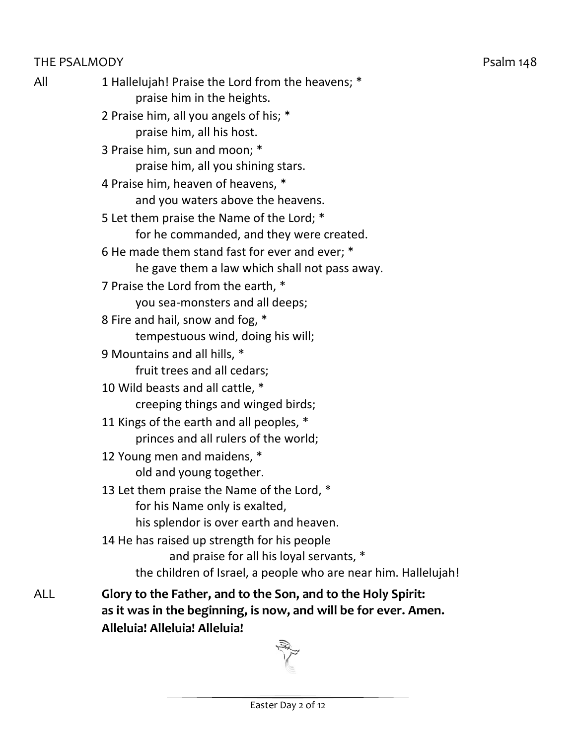#### THE PSALMODY **EXAMPLE 2018** Psalm 148

| All | 1 Hallelujah! Praise the Lord from the heavens; *<br>praise him in the heights. |
|-----|---------------------------------------------------------------------------------|
|     | 2 Praise him, all you angels of his; *                                          |
|     | praise him, all his host.                                                       |
|     | 3 Praise him, sun and moon; *                                                   |
|     | praise him, all you shining stars.                                              |
|     | 4 Praise him, heaven of heavens, *                                              |
|     | and you waters above the heavens.                                               |
|     | 5 Let them praise the Name of the Lord; *                                       |
|     | for he commanded, and they were created.                                        |
|     | 6 He made them stand fast for ever and ever; *                                  |
|     | he gave them a law which shall not pass away.                                   |
|     |                                                                                 |
|     | 7 Praise the Lord from the earth, *<br>you sea-monsters and all deeps;          |
|     | 8 Fire and hail, snow and fog, *                                                |
|     | tempestuous wind, doing his will;                                               |
|     | 9 Mountains and all hills, *                                                    |
|     | fruit trees and all cedars;                                                     |
|     | 10 Wild beasts and all cattle, *                                                |
|     | creeping things and winged birds;                                               |
|     | 11 Kings of the earth and all peoples, *                                        |
|     | princes and all rulers of the world;                                            |
|     | 12 Young men and maidens, *                                                     |
|     | old and young together.                                                         |
|     | 13 Let them praise the Name of the Lord, *                                      |
|     | for his Name only is exalted,                                                   |
|     | his splendor is over earth and heaven.                                          |
|     | 14 He has raised up strength for his people                                     |
|     | and praise for all his loyal servants, *                                        |
|     | the children of Israel, a people who are near him. Hallelujah!                  |
| ALL |                                                                                 |
|     | Glory to the Father, and to the Son, and to the Holy Spirit:                    |

ALL **Glory to the Father, and to the Son, and to the Holy Spirit: as it was in the beginning, is now, and will be for ever. Amen. Alleluia! Alleluia! Alleluia!**

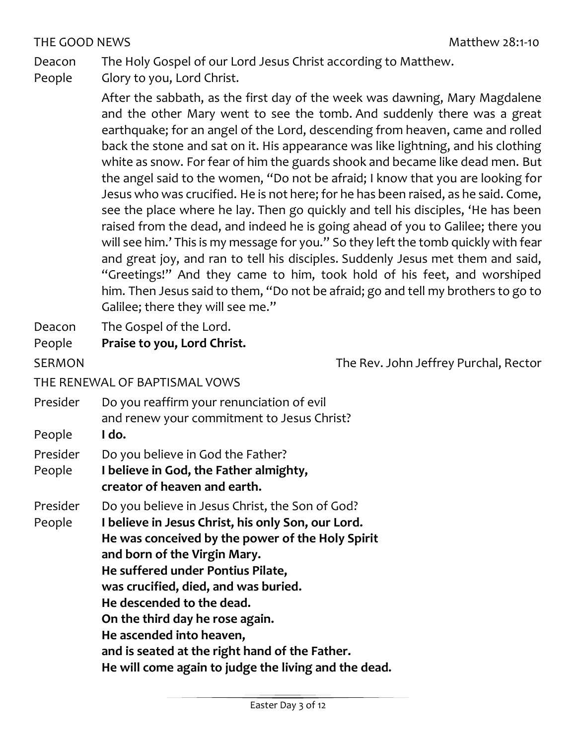#### THE GOOD NEWS THE GOOD NEWS

Deacon The Holy Gospel of our Lord Jesus Christ according to Matthew.

- People Glory to you, Lord Christ.
	- After the sabbath, as the first day of the week was dawning, Mary Magdalene and the other Mary went to see the tomb. And suddenly there was a great earthquake; for an angel of the Lord, descending from heaven, came and rolled back the stone and sat on it. His appearance was like lightning, and his clothing white as snow. For fear of him the guards shook and became like dead men. But the angel said to the women, "Do not be afraid; I know that you are looking for Jesus who was crucified. He is not here; for he has been raised, as he said. Come, see the place where he lay. Then go quickly and tell his disciples, 'He has been raised from the dead, and indeed he is going ahead of you to Galilee; there you will see him.' This is my message for you." So they left the tomb quickly with fear and great joy, and ran to tell his disciples. Suddenly Jesus met them and said, "Greetings!" And they came to him, took hold of his feet, and worshiped him. Then Jesus said to them, "Do not be afraid; go and tell my brothers to go to Galilee; there they will see me."
- Deacon The Gospel of the Lord.
- People **Praise to you, Lord Christ.**

SERMON SERMON The Rev. John Jeffrey Purchal, Rector

#### THE RENEWAL OF BAPTISMAL VOWS

Presider Do you reaffirm your renunciation of evil and renew your commitment to Jesus Christ? People **I do.** Presider Do you believe in God the Father? People **I believe in God, the Father almighty, creator of heaven and earth.** Presider Do you believe in Jesus Christ, the Son of God? People **I believe in Jesus Christ, his only Son, our Lord. He was conceived by the power of the Holy Spirit and born of the Virgin Mary. He suffered under Pontius Pilate, was crucified, died, and was buried. He descended to the dead. On the third day he rose again. He ascended into heaven, and is seated at the right hand of the Father. He will come again to judge the living and the dead.**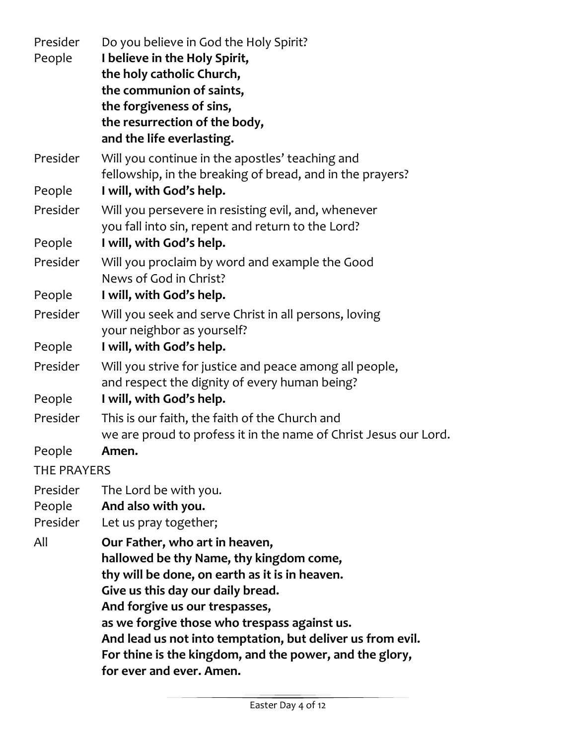| Presider    | Do you believe in God the Holy Spirit?                           |
|-------------|------------------------------------------------------------------|
| People      | I believe in the Holy Spirit,                                    |
|             | the holy catholic Church,                                        |
|             | the communion of saints,                                         |
|             | the forgiveness of sins,                                         |
|             | the resurrection of the body,                                    |
|             | and the life everlasting.                                        |
| Presider    | Will you continue in the apostles' teaching and                  |
|             | fellowship, in the breaking of bread, and in the prayers?        |
| People      | I will, with God's help.                                         |
| Presider    | Will you persevere in resisting evil, and, whenever              |
|             | you fall into sin, repent and return to the Lord?                |
| People      | I will, with God's help.                                         |
| Presider    | Will you proclaim by word and example the Good                   |
|             | News of God in Christ?                                           |
| People      | I will, with God's help.                                         |
| Presider    | Will you seek and serve Christ in all persons, loving            |
|             | your neighbor as yourself?                                       |
| People      | I will, with God's help.                                         |
| Presider    | Will you strive for justice and peace among all people,          |
|             | and respect the dignity of every human being?                    |
| People      | I will, with God's help.                                         |
| Presider    | This is our faith, the faith of the Church and                   |
|             | we are proud to profess it in the name of Christ Jesus our Lord. |
| People      | Amen.                                                            |
| THE PRAYERS |                                                                  |
| Presider    | The Lord be with you.                                            |
| People      | And also with you.                                               |
| Presider    | Let us pray together;                                            |
| All         | Our Father, who art in heaven,                                   |
|             | hallowed be thy Name, thy kingdom come,                          |
|             | thy will be done, on earth as it is in heaven.                   |
|             | Give us this day our daily bread.                                |
|             | And forgive us our trespasses,                                   |
|             | as we forgive those who trespass against us.                     |
|             | And lead us not into temptation, but deliver us from evil.       |
|             | For thine is the kingdom, and the power, and the glory,          |
|             | for ever and ever. Amen.                                         |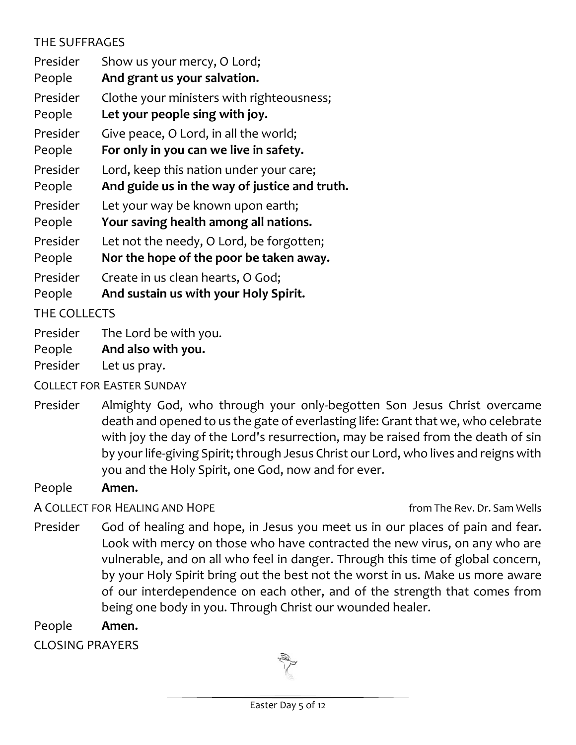### THE SUFFRAGES

Presider Show us your mercy, O Lord; People **And grant us your salvation.** Presider Clothe your ministers with righteousness; People **Let your people sing with joy.**  Presider Give peace, O Lord, in all the world; People **For only in you can we live in safety.**  Presider Lord, keep this nation under your care; People **And guide us in the way of justice and truth.**  Presider Let your way be known upon earth; People **Your saving health among all nations.**  Presider Let not the needy, O Lord, be forgotten; People **Nor the hope of the poor be taken away.**  Presider Create in us clean hearts, O God; People **And sustain us with your Holy Spirit.** THE COLLECTS Presider The Lord be with you.

People **And also with you.**

Presider Let us pray.

COLLECT FOR EASTER SUNDAY

Presider Almighty God, who through your only-begotten Son Jesus Christ overcame death and opened to us the gate of everlasting life: Grant that we, who celebrate with joy the day of the Lord's resurrection, may be raised from the death of sin by your life-giving Spirit; through Jesus Christ our Lord, who lives and reigns with you and the Holy Spirit, one God, now and for ever.

People **Amen.**

A COLLECT FOR HEALING AND HOPE *A* COLLECT FOR HEALING AND HOPE

Presider God of healing and hope, in Jesus you meet us in our places of pain and fear. Look with mercy on those who have contracted the new virus, on any who are vulnerable, and on all who feel in danger. Through this time of global concern, by your Holy Spirit bring out the best not the worst in us. Make us more aware of our interdependence on each other, and of the strength that comes from being one body in you. Through Christ our wounded healer.

People **Amen.**

CLOSING PRAYERS

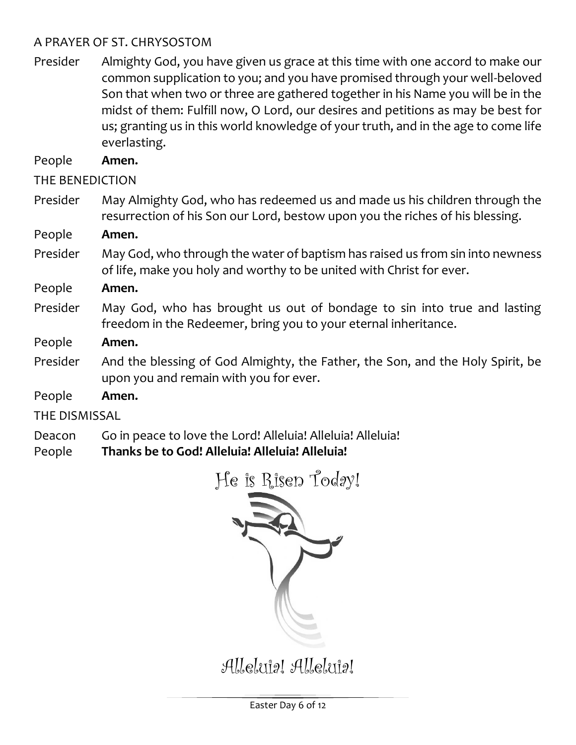#### A PRAYER OF ST. CHRYSOSTOM

Presider Almighty God, you have given us grace at this time with one accord to make our common supplication to you; and you have promised through your well-beloved Son that when two or three are gathered together in his Name you will be in the midst of them: Fulfill now, O Lord, our desires and petitions as may be best for us; granting us in this world knowledge of your truth, and in the age to come life everlasting.

People **Amen.**

THE BENEDICTION

Presider May Almighty God, who has redeemed us and made us his children through the resurrection of his Son our Lord, bestow upon you the riches of his blessing.

People **Amen.**

- Presider May God, who through the water of baptism has raised us from sin into newness of life, make you holy and worthy to be united with Christ for ever.
- People **Amen.**
- Presider May God, who has brought us out of bondage to sin into true and lasting freedom in the Redeemer, bring you to your eternal inheritance.
- People **Amen.**
- Presider And the blessing of God Almighty, the Father, the Son, and the Holy Spirit, be upon you and remain with you for ever.

People **Amen.**

THE DISMISSAL

Deacon Go in peace to love the Lord! Alleluia! Alleluia! Alleluia!

People **Thanks be to God! Alleluia! Alleluia! Alleluia!**



Alleluig! Alleluig!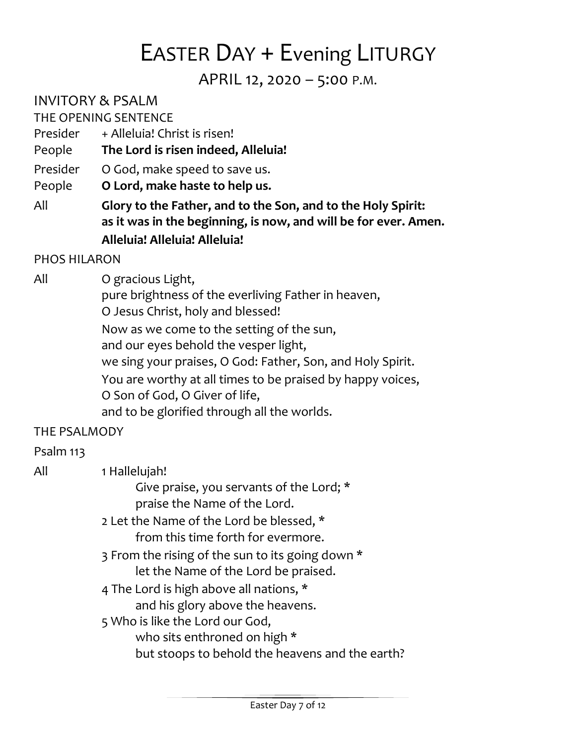# EASTER DAY + Evening LITURGY

APRIL 12, 2020 – 5:00 P.M.

INVITORY & PSALM

THE OPENING SENTENCE

- Presider + Alleluia! Christ is risen!
- People **The Lord is risen indeed, Alleluia!**
- Presider O God, make speed to save us.

People **O Lord, make haste to help us.**

All **Glory to the Father, and to the Son, and to the Holy Spirit: as it was in the beginning, is now, and will be for ever. Amen. Alleluia! Alleluia! Alleluia!**

#### PHOS HILARON

All O gracious Light,

pure brightness of the everliving Father in heaven,

O Jesus Christ, holy and blessed!

Now as we come to the setting of the sun,

and our eyes behold the vesper light,

we sing your praises, O God: Father, Son, and Holy Spirit.

You are worthy at all times to be praised by happy voices,

O Son of God, O Giver of life,

and to be glorified through all the worlds.

#### THE PSALMODY

#### Psalm 113

| All | 1 Hallelujah!<br>Give praise, you servants of the Lord; *                                                          |
|-----|--------------------------------------------------------------------------------------------------------------------|
|     | praise the Name of the Lord.<br>2 Let the Name of the Lord be blessed, *<br>from this time forth for evermore.     |
|     | 3 From the rising of the sun to its going down *<br>let the Name of the Lord be praised.                           |
|     | 4 The Lord is high above all nations, *<br>and his glory above the heavens.                                        |
|     | 5 Who is like the Lord our God,<br>who sits enthroned on high *<br>but stoops to behold the heavens and the earth? |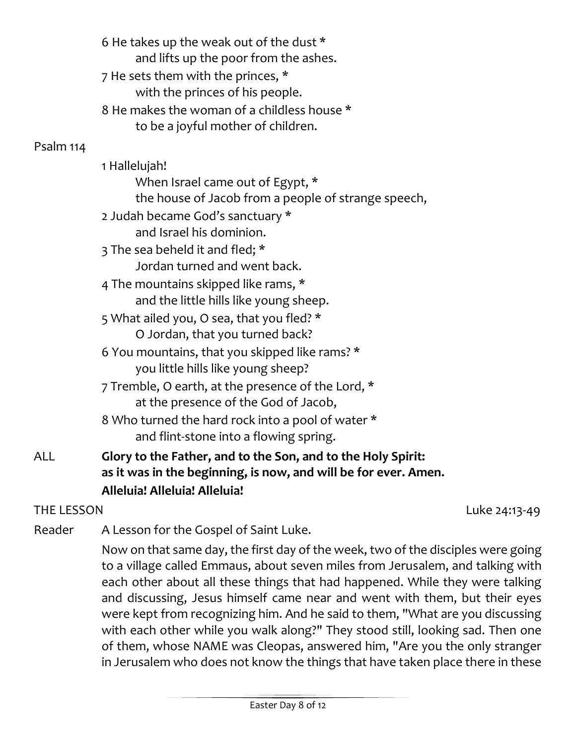6 He takes up the weak out of the dust \* and lifts up the poor from the ashes. 7 He sets them with the princes, \* with the princes of his people. 8 He makes the woman of a childless house \* to be a joyful mother of children.

#### Psalm 114

|     | 1 Hallelujah!                                                |
|-----|--------------------------------------------------------------|
|     | When Israel came out of Egypt, *                             |
|     | the house of Jacob from a people of strange speech,          |
|     | 2 Judah became God's sanctuary *                             |
|     | and Israel his dominion.                                     |
|     | 3 The sea beheld it and fled; *                              |
|     | Jordan turned and went back.                                 |
|     | 4 The mountains skipped like rams, *                         |
|     | and the little hills like young sheep.                       |
|     | 5 What ailed you, O sea, that you fled? *                    |
|     | O Jordan, that you turned back?                              |
|     | 6 You mountains, that you skipped like rams? *               |
|     | you little hills like young sheep?                           |
|     | 7 Tremble, O earth, at the presence of the Lord, *           |
|     | at the presence of the God of Jacob,                         |
|     | 8 Who turned the hard rock into a pool of water *            |
|     | and flint-stone into a flowing spring.                       |
| ALL | Glory to the Father, and to the Son, and to the Holy Spirit: |

## **as it was in the beginning, is now, and will be for ever. Amen. Alleluia! Alleluia! Alleluia!**

THE LESSON Luke 24:13-49

Reader A Lesson for the Gospel of Saint Luke.

Now on that same day, the first day of the week, two of the disciples were going to a village called Emmaus, about seven miles from Jerusalem, and talking with each other about all these things that had happened. While they were talking and discussing, Jesus himself came near and went with them, but their eyes were kept from recognizing him. And he said to them, "What are you discussing with each other while you walk along?" They stood still, looking sad. Then one of them, whose NAME was Cleopas, answered him, "Are you the only stranger in Jerusalem who does not know the things that have taken place there in these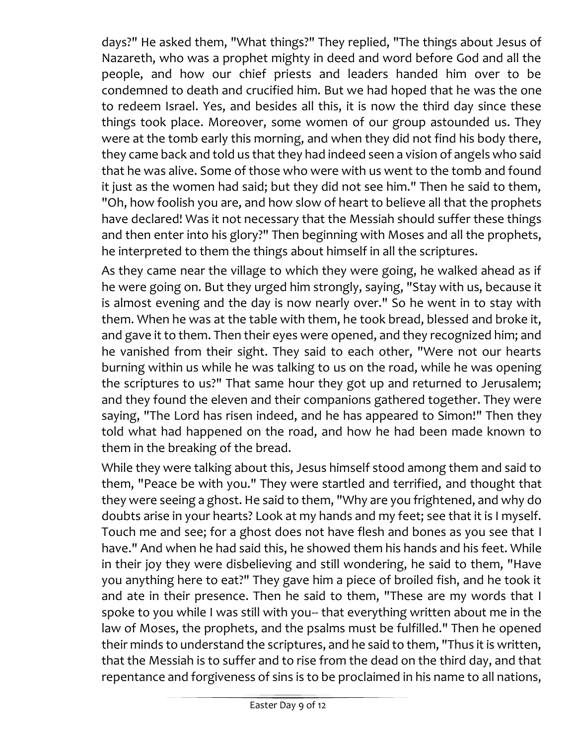days?" He asked them, "What things?" They replied, "The things about Jesus of Nazareth, who was a prophet mighty in deed and word before God and all the people, and how our chief priests and leaders handed him over to be condemned to death and crucified him. But we had hoped that he was the one to redeem Israel. Yes, and besides all this, it is now the third day since these things took place. Moreover, some women of our group astounded us. They were at the tomb early this morning, and when they did not find his body there, they came back and told us that they had indeed seen a vision of angels who said that he was alive. Some of those who were with us went to the tomb and found it just as the women had said; but they did not see him." Then he said to them, "Oh, how foolish you are, and how slow of heart to believe all that the prophets have declared! Was it not necessary that the Messiah should suffer these things and then enter into his glory?" Then beginning with Moses and all the prophets, he interpreted to them the things about himself in all the scriptures.

As they came near the village to which they were going, he walked ahead as if he were going on. But they urged him strongly, saying, "Stay with us, because it is almost evening and the day is now nearly over." So he went in to stay with them. When he was at the table with them, he took bread, blessed and broke it, and gave it to them. Then their eyes were opened, and they recognized him; and he vanished from their sight. They said to each other, "Were not our hearts burning within us while he was talking to us on the road, while he was opening the scriptures to us?" That same hour they got up and returned to Jerusalem; and they found the eleven and their companions gathered together. They were saying, "The Lord has risen indeed, and he has appeared to Simon!" Then they told what had happened on the road, and how he had been made known to them in the breaking of the bread.

While they were talking about this, Jesus himself stood among them and said to them, "Peace be with you." They were startled and terrified, and thought that they were seeing a ghost. He said to them, "Why are you frightened, and why do doubts arise in your hearts? Look at my hands and my feet; see that it is I myself. Touch me and see; for a ghost does not have flesh and bones as you see that I have." And when he had said this, he showed them his hands and his feet. While in their joy they were disbelieving and still wondering, he said to them, "Have you anything here to eat?" They gave him a piece of broiled fish, and he took it and ate in their presence. Then he said to them, "These are my words that I spoke to you while I was still with you-- that everything written about me in the law of Moses, the prophets, and the psalms must be fulfilled." Then he opened their minds to understand the scriptures, and he said to them, "Thus it is written, that the Messiah is to suffer and to rise from the dead on the third day, and that repentance and forgiveness of sins is to be proclaimed in his name to all nations,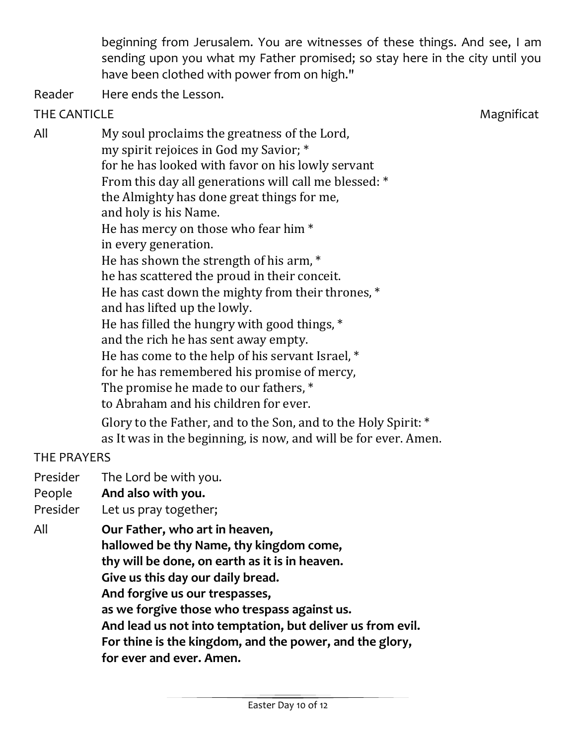beginning from Jerusalem. You are witnesses of these things. And see, I am sending upon you what my Father promised; so stay here in the city until you have been clothed with power from on high."

Reader Here ends the Lesson.

#### THE CANTICLE Magnification and the matrix of the matrix of the matrix of the matrix of the matrix of the matrix of the matrix of the matrix of the matrix of the matrix of the matrix of the matrix of the matrix of the matri

All My soul proclaims the greatness of the Lord, my spirit rejoices in God my Savior; \* for he has looked with favor on his lowly servant From this day all generations will call me blessed: \* the Almighty has done great things for me, and holy is his Name. He has mercy on those who fear him \* in every generation. He has shown the strength of his arm, \* he has scattered the proud in their conceit. He has cast down the mighty from their thrones, \* and has lifted up the lowly. He has filled the hungry with good things, \* and the rich he has sent away empty. He has come to the help of his servant Israel, \* for he has remembered his promise of mercy, The promise he made to our fathers, \* to Abraham and his children for ever. Glory to the Father, and to the Son, and to the Holy Spirit: \* as It was in the beginning, is now, and will be for ever. Amen.

#### THE PRAYERS

- Presider The Lord be with you.
- People **And also with you.**
- Presider Let us pray together;
- All **Our Father, who art in heaven,** 
	- **hallowed be thy Name, thy kingdom come,** 
		- **thy will be done, on earth as it is in heaven.**
		- **Give us this day our daily bread.**
		- **And forgive us our trespasses,**
		- **as we forgive those who trespass against us.**
		- **And lead us not into temptation, but deliver us from evil.**
		- **For thine is the kingdom, and the power, and the glory,** 
			- **for ever and ever. Amen.**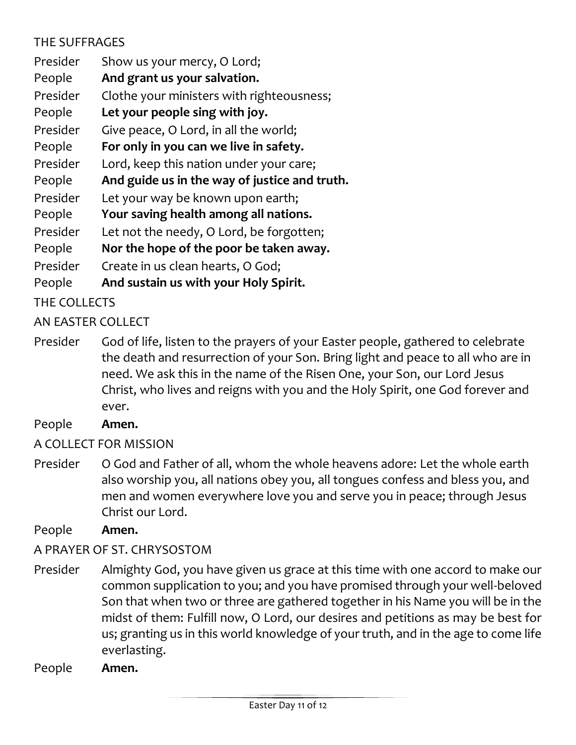### THE SUFFRAGES

| Presider | Show us your mercy, O Lord;                   |
|----------|-----------------------------------------------|
| People   | And grant us your salvation.                  |
| Presider | Clothe your ministers with righteousness;     |
| People   | Let your people sing with joy.                |
| Presider | Give peace, O Lord, in all the world;         |
| People   | For only in you can we live in safety.        |
| Presider | Lord, keep this nation under your care;       |
| People   | And guide us in the way of justice and truth. |
| Presider | Let your way be known upon earth;             |
| People   | Your saving health among all nations.         |
| Presider | Let not the needy, O Lord, be forgotten;      |
| People   | Nor the hope of the poor be taken away.       |
| Presider | Create in us clean hearts, O God;             |
| People   | And sustain us with your Holy Spirit.         |

THE COLLECTS

AN EASTER COLLECT

Presider God of life, listen to the prayers of your Easter people, gathered to celebrate the death and resurrection of your Son. Bring light and peace to all who are in need. We ask this in the name of the Risen One, your Son, our Lord Jesus Christ, who lives and reigns with you and the Holy Spirit, one God forever and ever.

People **Amen.**

A COLLECT FOR MISSION

Presider O God and Father of all, whom the whole heavens adore: Let the whole earth also worship you, all nations obey you, all tongues confess and bless you, and men and women everywhere love you and serve you in peace; through Jesus Christ our Lord.

People **Amen.**

#### A PRAYER OF ST. CHRYSOSTOM

Presider Almighty God, you have given us grace at this time with one accord to make our common supplication to you; and you have promised through your well-beloved Son that when two or three are gathered together in his Name you will be in the midst of them: Fulfill now, O Lord, our desires and petitions as may be best for us; granting us in this world knowledge of your truth, and in the age to come life everlasting.

People **Amen.**